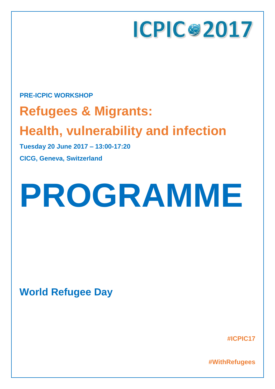

### **PRE-ICPIC WORKSHOP**

## **Refugees & Migrants:**

## **Health, vulnerability and infection**

**Tuesday 20 June 2017 – 13:00-17:20**

**CICG, Geneva, Switzerland**

# **PROGRAMME**

**World Refugee Day**

**#ICPIC17**

**#WithRefugees**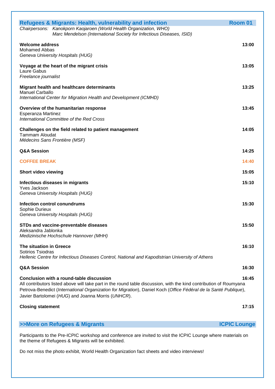| <b>Refugees &amp; Migrants: Health, vulnerability and infection</b>                                                                                                   | Room 01             |
|-----------------------------------------------------------------------------------------------------------------------------------------------------------------------|---------------------|
| Chairpersons: Kanokporn Kaojaroen (World Health Organization, WHO)<br>Marc Mendelson (International Society for Infectious Diseases, ISID)                            |                     |
|                                                                                                                                                                       |                     |
| <b>Welcome address</b><br>Mohamed Abbas                                                                                                                               | 13:00               |
| Geneva University Hospitals (HUG)                                                                                                                                     |                     |
| Voyage at the heart of the migrant crisis                                                                                                                             | 13:05               |
| Laure Gabus                                                                                                                                                           |                     |
| Freelance journalist                                                                                                                                                  |                     |
| Migrant health and healthcare determinants                                                                                                                            | 13:25               |
| <b>Manuel Carballo</b><br>International Center for Migration Health and Development (ICMHD)                                                                           |                     |
|                                                                                                                                                                       |                     |
| Overview of the humanitarian response<br>Esperanza Martinez                                                                                                           | 13:45               |
| International Committee of the Red Cross                                                                                                                              |                     |
| Challenges on the field related to patient management                                                                                                                 | 14:05               |
| <b>Tammam Aloudat</b>                                                                                                                                                 |                     |
| Médecins Sans Frontière (MSF)                                                                                                                                         |                     |
| Q&A Session                                                                                                                                                           | 14:25               |
| <b>COFFEE BREAK</b>                                                                                                                                                   | 14:40               |
| <b>Short video viewing</b>                                                                                                                                            | 15:05               |
| Infectious diseases in migrants                                                                                                                                       | 15:10               |
| <b>Yves Jackson</b>                                                                                                                                                   |                     |
| Geneva University Hospitals (HUG)                                                                                                                                     |                     |
| <b>Infection control conundrums</b>                                                                                                                                   | 15:30               |
| Sophie Durieux<br>Geneva University Hospitals (HUG)                                                                                                                   |                     |
|                                                                                                                                                                       |                     |
| STDs and vaccine-preventable diseases<br>Aleksandra Jablonka                                                                                                          | 15:50               |
| Medizinische Hochschule Hannover (MHH)                                                                                                                                |                     |
| The situation in Greece                                                                                                                                               | 16:10               |
| Sotirios Tsiodras                                                                                                                                                     |                     |
| Hellenic Centre for Infectious Diseases Control, National and Kapodistrian University of Athens                                                                       |                     |
| <b>Q&amp;A Session</b>                                                                                                                                                | 16:30               |
| Conclusion with a round-table discussion                                                                                                                              | 16:45               |
| All contributors listed above will take part in the round table discussion, with the kind contribution of Roumyana                                                    |                     |
| Petrova-Benedict (International Organization for Migration), Daniel Koch (Office Fédéral de la Santé Publique),<br>Javier Bartolomei (HUG) and Joanna Morris (UNHCR). |                     |
|                                                                                                                                                                       |                     |
| <b>Closing statement</b>                                                                                                                                              | 17:15               |
| >>More on Refugees & Migrants                                                                                                                                         | <b>ICPIC Lounge</b> |
|                                                                                                                                                                       |                     |
| Participants to the Pre-ICPIC workshop and conference are invited to visit the ICPIC Lounge where materials on<br>the theme of Refugees & Migrants will be exhibited. |                     |

Do not miss the photo exhibit, World Health Organization fact sheets and video interviews!